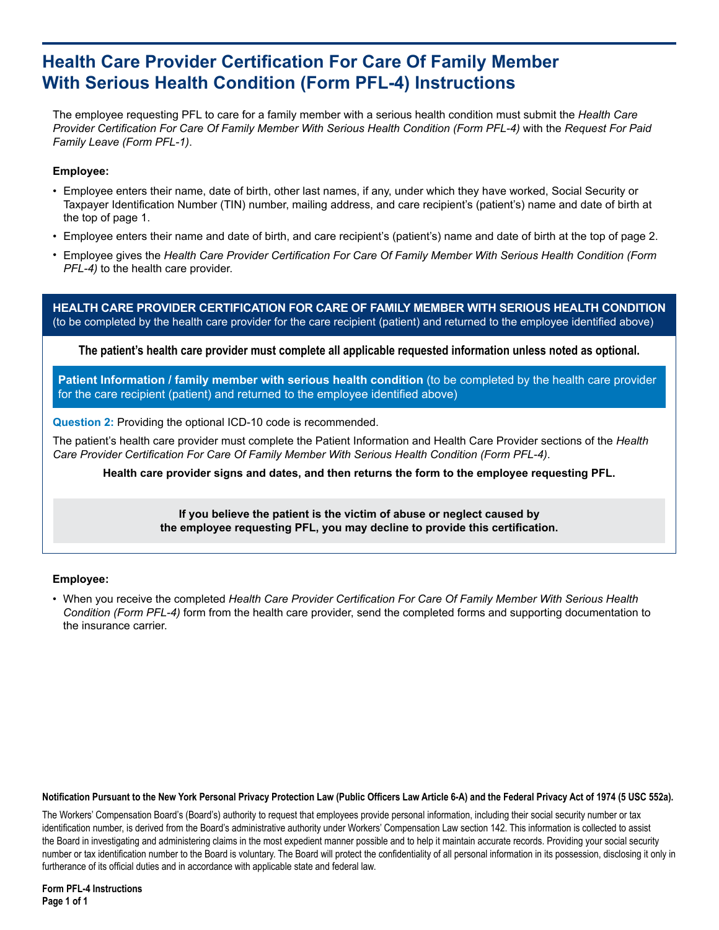## **Health Care Provider Certification For Care Of Family Member With Serious Health Condition (Form PFL-4) Instructions**

The employee requesting PFL to care for a family member with a serious health condition must submit the *Health Care Provider Certification For Care Of Family Member With Serious Health Condition (Form PFL-4)* with the *Request For Paid Family Leave (Form PFL-1)*.

## **Employee:**

- Employee enters their name, date of birth, other last names, if any, under which they have worked, Social Security or Taxpayer Identification Number (TIN) number, mailing address, and care recipient's (patient's) name and date of birth at the top of page 1.
- Employee enters their name and date of birth, and care recipient's (patient's) name and date of birth at the top of page 2. •
- Employee gives the *Health Care Provider Certification For Care Of Family Member With Serious Health Condition (Form PFL-4)* to the health care provider.

**HEALTH CARE PROVIDER CERTIFICATION FOR CARE OF FAMILY MEMBER WITH SERIOUS HEALTH CONDITION**  (to be completed by the health care provider for the care recipient (patient) and returned to the employee identified above)

**The patient's health care provider must complete all applicable requested information unless noted as optional.**

**Patient Information / family member with serious health condition** (to be completed by the health care provider for the care recipient (patient) and returned to the employee identified above)

**Question 2:** Providing the optional ICD-10 code is recommended.

The patient's health care provider must complete the Patient Information and Health Care Provider sections of the *Health Care Provider Certification For Care Of Family Member With Serious Health Condition (Form PFL-4)*.

**Health care provider signs and dates, and then returns the form to the employee requesting PFL.**

**If you believe the patient is the victim of abuse or neglect caused by the employee requesting PFL, you may decline to provide this certification.**

## **Employee:**

When you receive the completed *Health Care Provider Certification For Care Of Family Member With Serious Health*  • *Condition (Form PFL-4)* form from the health care provider, send the completed forms and supporting documentation to the insurance carrier.

## **Notification Pursuant to the New York Personal Privacy Protection Law (Public Officers Law Article 6-A) and the Federal Privacy Act of 1974 (5 USC 552a).**

The Workers' Compensation Board's (Board's) authority to request that employees provide personal information, including their social security number or tax identification number, is derived from the Board's administrative authority under Workers' Compensation Law section 142. This information is collected to assist the Board in investigating and administering claims in the most expedient manner possible and to help it maintain accurate records. Providing your social security number or tax identification number to the Board is voluntary. The Board will protect the confidentiality of all personal information in its possession, disclosing it only in furtherance of its official duties and in accordance with applicable state and federal law.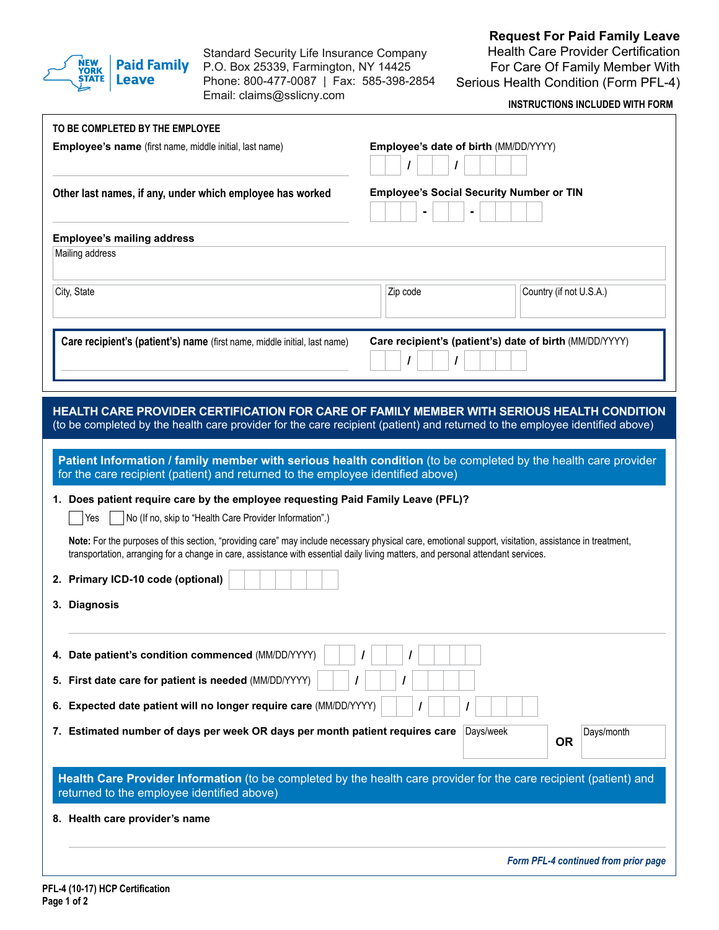

Standard Security Life Insurance Company Paid Family P.O. Box 25339, Farmington, NY 14425 Phone: 800-477-0087 | Fax: 585-398-2854 Email: claims@sslicny.com

**Request For Paid Family Leave**

Health Care Provider Certification For Care Of Family Member With Serious Health Condition (Form PFL-4)

**INSTRUCTIONS INCLUDED WITH FORM**

| Employee's name (first name, middle initial, last name)                                                                                                                                                                                                                                            | Employee's date of birth (MM/DD/YYYY)<br>I                   |
|----------------------------------------------------------------------------------------------------------------------------------------------------------------------------------------------------------------------------------------------------------------------------------------------------|--------------------------------------------------------------|
| Other last names, if any, under which employee has worked                                                                                                                                                                                                                                          | <b>Employee's Social Security Number or TIN</b>              |
| <b>Employee's mailing address</b>                                                                                                                                                                                                                                                                  |                                                              |
| Mailing address                                                                                                                                                                                                                                                                                    |                                                              |
| City, State                                                                                                                                                                                                                                                                                        | Zip code<br>Country (if not U.S.A.)                          |
| Care recipient's (patient's) name (first name, middle initial, last name)                                                                                                                                                                                                                          | Care recipient's (patient's) date of birth (MM/DD/YYYY)<br>I |
| HEALTH CARE PROVIDER CERTIFICATION FOR CARE OF FAMILY MEMBER WITH SERIOUS HEALTH CONDITION<br>(to be completed by the health care provider for the care recipient (patient) and returned to the employee identified above)                                                                         |                                                              |
| Patient Information / family member with serious health condition (to be completed by the health care provider<br>for the care recipient (patient) and returned to the employee identified above)                                                                                                  |                                                              |
| 1. Does patient require care by the employee requesting Paid Family Leave (PFL)?                                                                                                                                                                                                                   |                                                              |
| Yes<br>No (If no, skip to "Health Care Provider Information".)                                                                                                                                                                                                                                     |                                                              |
| Note: For the purposes of this section, "providing care" may include necessary physical care, emotional support, visitation, assistance in treatment,                                                                                                                                              |                                                              |
| transportation, arranging for a change in care, assistance with essential daily living matters, and personal attendant services.                                                                                                                                                                   |                                                              |
| 2. Primary ICD-10 code (optional)                                                                                                                                                                                                                                                                  |                                                              |
| 3. Diagnosis                                                                                                                                                                                                                                                                                       |                                                              |
|                                                                                                                                                                                                                                                                                                    |                                                              |
|                                                                                                                                                                                                                                                                                                    |                                                              |
|                                                                                                                                                                                                                                                                                                    | ı                                                            |
|                                                                                                                                                                                                                                                                                                    |                                                              |
|                                                                                                                                                                                                                                                                                                    |                                                              |
|                                                                                                                                                                                                                                                                                                    | Days/week<br>Days/month<br><b>OR</b>                         |
| Health Care Provider Information (to be completed by the health care provider for the care recipient (patient) and<br>returned to the employee identified above)                                                                                                                                   |                                                              |
| 4. Date patient's condition commenced (MM/DD/YYYY)<br>5. First date care for patient is needed (MM/DD/YYYY)<br>6. Expected date patient will no longer require care (MM/DD/YYYY)<br>7. Estimated number of days per week OR days per month patient requires care<br>8. Health care provider's name |                                                              |
|                                                                                                                                                                                                                                                                                                    | Form PFL-4 continued from prior page                         |